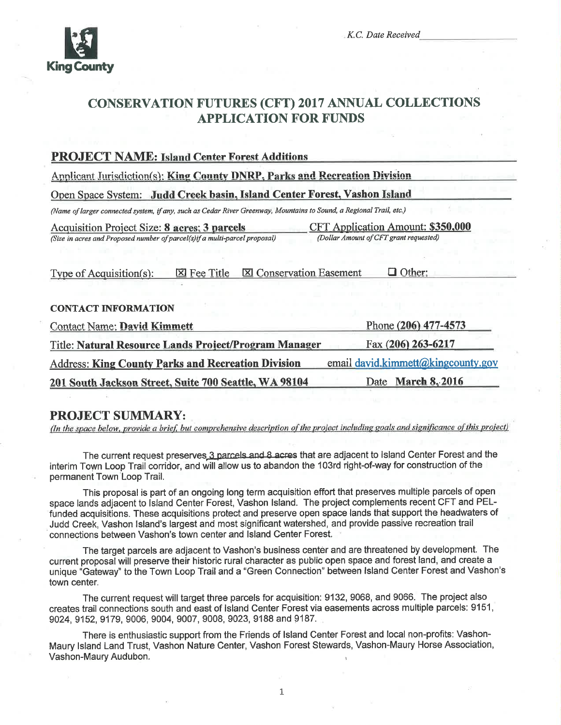

K.C. Date Received

# **CONSERVATION FUTURES (CFT) 2017 ANNUAL COLLECTIONS APPLICATION FOR FUNDS**

#### **PROJECT NAME: Island Center Forest Additions** Applicant Jurisdiction(s): King County DNRP, Parks and Recreation Division Open Space System: Judd Creek basin, Island Center Forest, Vashon Island (Name of larger connected system, if any, such as Cedar River Greenway, Mountains to Sound, a Regional Trail, etc.) **Acquisition Project Size: 8 acres: 3 parcels** CFT Application Amount: \$350,000 (Size in acres and Proposed number of parcel(s)if a multi-parcel proposal) (Dollar Amount of CFT grant requested)  $\boxtimes$  Fee Title **X** Conservation Easement  $\Box$  Other: Type of Acquisition(s): **CONTACT INFORMATION** Phone (206) 477-4573 **Contact Name: David Kimmett** Title: Natural Resource Lands Project/Program Manager Fax (206) 263-6217 email david.kimmett@kingcounty.gov **Address: King County Parks and Recreation Division** 201 South Jackson Street, Suite 700 Seattle, WA 98104 Date March 8, 2016

### **PROJECT SUMMARY:**

(In the space below, provide a brief, but comprehensive description of the project including goals and significance of this project)

The current request preserves 3 parcels and 8 acres that are adjacent to Island Center Forest and the interim Town Loop Trail corridor, and will allow us to abandon the 103rd right-of-way for construction of the permanent Town Loop Trail.

This proposal is part of an ongoing long term acquisition effort that preserves multiple parcels of open space lands adjacent to Island Center Forest, Vashon Island. The project complements recent CFT and PELfunded acquisitions. These acquisitions protect and preserve open space lands that support the headwaters of Judd Creek, Vashon Island's largest and most significant watershed, and provide passive recreation trail connections between Vashon's town center and Island Center Forest.

The target parcels are adjacent to Vashon's business center and are threatened by development. The current proposal will preserve their historic rural character as public open space and forest land, and create a unique "Gateway" to the Town Loop Trail and a "Green Connection" between Island Center Forest and Vashon's town center.

The current request will target three parcels for acquisition: 9132, 9068, and 9066. The project also creates trail connections south and east of Island Center Forest via easements across multiple parcels: 9151, 9024, 9152, 9179, 9006, 9004, 9007, 9008, 9023, 9188 and 9187.

There is enthusiastic support from the Friends of Island Center Forest and local non-profits: Vashon-Maury Island Land Trust, Vashon Nature Center, Vashon Forest Stewards, Vashon-Maury Horse Association, Vashon-Maury Audubon.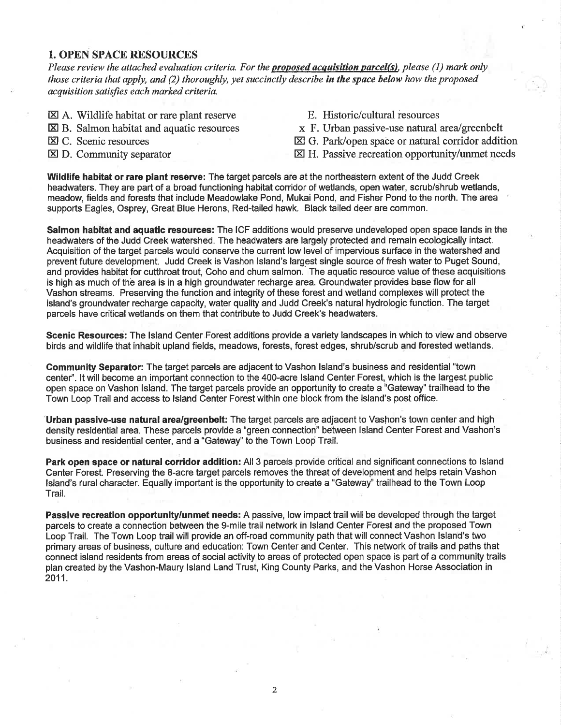#### I. OPEN SPACE RESOURCES

Please review the attached evaluation criteria. For the proposed acquisition parcel(s), please (1) mark only those criteria that apply, and  $(2)$  thoroughly, yet succinctly describe in the space below how the proposed acquisition satisfies each marked criteria.

- $\boxtimes$  A. Wildlife habitat or rare plant reserve
- $\boxtimes$  B. Salmon habitat and aquatic resources
- El C. Scenic resources
- $\boxtimes$  D. Community separator
- E. Historic/cultural resources
- x F. Urban passive-use natural area/greenbelt
- El G. Park/open space or natural corridor addition
- EI H. Passive recreation opportunity/unmet needs

Wildlife habitat or rare plant reserve: The target parcels are at the northeastern extent of the Judd Creek headwaters. They are part of a broad functioning habitat corridor of wetlands, open water, scrub/shrub wetlands, meadow, fields and forests that include Meadowlake Pond, Mukai Pond, and Fisher Pond to the north. The area supports Eagles, Osprey, Great Blue Herons, Red-tailed hawk. Black tailed deer are common.

Salmon habitat and aquatic resources: The ICF additions would preserve undeveloped open space lands in the headwaters of the Judd Creek watershed. The headwaters are largely protected and remain ecologically intact. Acquisition of the target parcels would conserve the current low level of impervious surface in the watershed and prevent future development. Judd Creek is Vashon lsland's largest single source of fresh water to Puget Sound, and provides habitat for cutthroat trout, Coho and chum salmon. The aquatic resource value of these acquisitions is high as much of the area is in a high groundwater recharge area. Groundwater provides base flow for all Vashon streams. Preserving the function and integrity of these forest and wetland complexes will protect the island's groundwater recharge capacity, water quality and Judd Creek's natural hydrologic function. The target parcels have critical wetlands on them that contribute to Judd Creek's headwaters.

Scenic Resources: The lsland Center Forest additions provide a variety landscapes in which to view and observe birds and wildlife that inhabit upland fields, meadows, forests, ferest edges, shrub/scrub and forested wetlands.

Gommunity Separator: The target parcels are adjacent to Vashon lsland's business and residential "town centef'. lt will become an important connection to the 400-acre lsland Genter Forest, which is the largest public open space on Vashon lsland. The target parcels provide an opportunity to create a "Gateway" trailhead to the Town Loop Trail and access to lsland Center Forest within one block from the island's post office.

Urban passive-use natural area/greenbelt: The target parcels are adjacent to Vashon's town center and high density residential area. These parcels provide a "green connection" between lsland Center Forest and Vashon's business and residential center, and a "Gateway" to the Town Loop Trail.

Park open space or natural corridor addition: All 3 parcels provide critical and significant connections to lsland Center Forest. Preserving the 8-acre target parcels removes the threat of development and helps retain Vashon lsland's rural character. Equally important is the opportunity to create a "Gateway" trailhead to the Town Loop Trail.

Passive recreation opportunity/unmet needs: A passive, low impact trail will be developed through the target parcels to create a connection between the 9-mile trail network in lsland Center Forest and the proposed Town Loop Trail. The Town Loop trail will provide an off-road community path that will connect Vashon lsland's two primary areas of business, culture and education: Town Center and Center. This network of trails and paths that connect island residents from areas of social activity to areas of protected open space is part of a community trails plan created by the Vashon-Maury lsland Land Trust, King County Parks, and the Vashon Horse Association in 2011.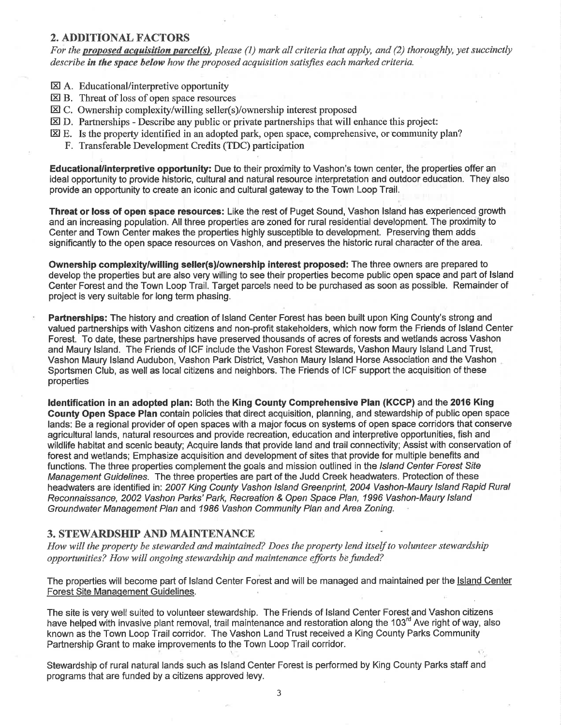#### 2. ADDITIONAL FACTORS

For the proposed acquisition parcel(s), please (1) mark all criteria that apply, and (2) thoroughly, yet succinctly describe in the space below how the proposed acquisition satisfies each marked criteria.

- EX A. Educational/interpretive opportunity
- **EXALCONSTRESS OF SPACE OF PERSON**<br>**EXALCONS** B. Threat of loss of open space resources
- EI C. Ownership complexity/willing seller(s)/ownership interest proposed
- **ED.** Partnerships Describe any public or private partnerships that will enhance this project:
- EI E. Is the properly identified in an adopted park, open space, comprehensive, or community plan?
	- F. Transferable Development Credits (TDC) participation

Educational/interpretive opportunity: Due to their proximity to Vashon's town centêr, the properties offer an ideal opportunity to provide historic, cultural and natural resource interpretation and outdoor education. They also provide an opportunity to create an iconic and cultural gateway to the Town Loop Trail.

Threat or loss of open space resources: Like the rest of Puget Sound, Vashon lsland has experienced growth and ân increasing population. All three properties are zoned for rural residential development. The proximity to Center and Town Center makes the properties highly susceptible to development. Preserving them adds significantly to the open space resources on Vashon, and preserves the historic rural character of the area.

Ownership complexity/willing seller(s)/ownership interest proposed: The three owners are prepared to develop the properties but are also very willing to see their properties become public open space and part of lsland Center Forest and the Town Loop Trail. Target parcels need to be purchased as soon as possible. Remainder of project is very suitable for long term phasing.

Partnerships: The history and creation of Island Center Forest has been built upon King County's strong and valued partnerships with Vashon citizens and non-profit stakeholders, which now form the Friends of lsland Center Forest. To date, these partnerships have preserved thousands of acres of forests and wetlands across Vashon and Maury lsland. The Friends of ICF include the Vashon Forest Stewards, Vashon Maury lsland Land Trust, Vashon Maury lsland Audubon, Vashon Park District, Vashon Maury lsland Horse Association and the Vashon Sportsmen Club, as well as local citizens and neighbors. The Friends of ICF support the acquisition of these properties

ldentification in an adopted plan: Both the King Gounty Gomprehensive Plan (KCCP) and the 2016 King County Open Space Plan contain policies that direct acquisition, planning, and stewardship of public open space lands: Be a regional provider of open spaces with a major focus on systems of open space corridors that conserve agricultural lands, natural resources and provide recreation, êducation and interpretive opportunities, fish and wildlife habitat and scenic beauty; Acquire lands that provide land and trail connectivity; Assist with conservation of forest and wetlands; Emphasize acquisition and development of sites that provide for multiple benefits and functions. The three properties complement the goals and mission outlined in the *Island Center Forest Site* Management Guidelines. The three properties are part of the Judd Greek headwaters. Protection of these headwaters are identified in: 2007 King County Vashon Island Greenprint, 2004 Vashon-Maury Island Rapid Rural Reconnal'ssance, 2002 Vashon Parks'Park, Recreation & Open Space Plan, 1996 Vashon-Maury lsland Groundwater Management Plan and 1986 Vashon Community Plan and Area Zoning.

#### 3. STEWARDSHIP AND MAINTENANCE

How will the property be stewarded and maintained? Does the property lend itself to volunteer stewardship opportunities? How will ongoing stewardship qnd maintenance efforts befunded?

The properties will become part of Island Center Forest and will be managed and maintained per the Island Center Forest Site Manaqement Guidelines

The site is very well suited to volunteer stewardship. The Friends of lsland Center Forest and Vashon citizens have helped with invasive plant removal, trail maintenance and restoration along the 103<sup>rd</sup> Ave right of way, also known as the Town Loop Trail corridor. The Vashon Land Trust received a King County Parks Community Partnership Grant to make improvements to the Town Loop Trail corridor. ,

Stewardship of rural natural lands such as lsland Center Forest is performed by King County Parks staff and programs that are funded by a citizens approved levy.

.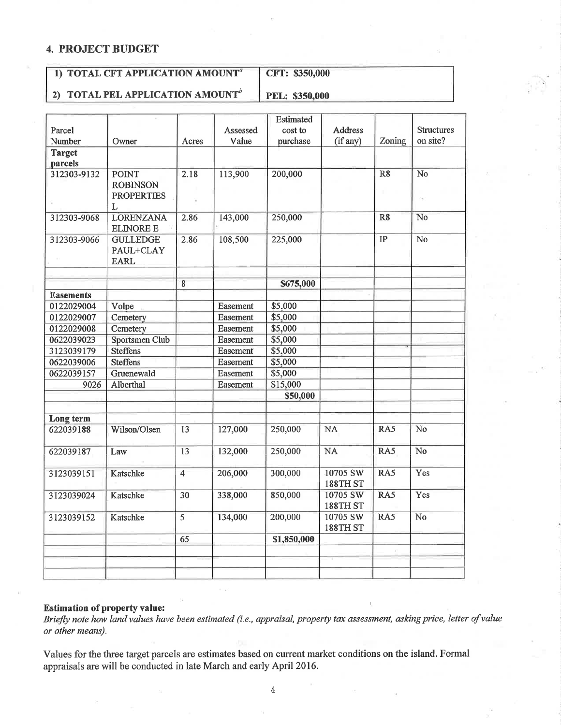#### 4. PROJECT BUDGET

#### 1) TOTAL CFT APPLICATION AMOUNT<sup>®</sup> CFT: \$350,000

2) TOTAL PEL APPLICATION AMOUNT<sup>b</sup>

PEL: \$350,000

| Parcel           |                                                      |                | Assessed        | <b>Estimated</b><br>cost to | <b>Address</b>              |                | <b>Structures</b> |
|------------------|------------------------------------------------------|----------------|-----------------|-----------------------------|-----------------------------|----------------|-------------------|
| Number           | Owner                                                | Acres          | Value           | purchase                    | (if any)                    | Zoning         | on site?          |
| <b>Target</b>    |                                                      |                |                 |                             |                             |                |                   |
| parcels          |                                                      |                |                 |                             |                             |                |                   |
| 312303-9132      | <b>POINT</b><br><b>ROBINSON</b><br><b>PROPERTIES</b> | 2.18           | 113,900         | 200,000                     |                             | R <sub>8</sub> | N <sub>o</sub>    |
| 312303-9068      | L<br><b>LORENZANA</b><br><b>ELINORE E</b>            | 2.86           | 143,000         | 250,000                     |                             | R8             | No                |
| 312303-9066      | <b>GULLEDGE</b><br>PAUL+CLAY<br><b>EARL</b>          | 2.86           | 108,500         | 225,000                     |                             | IP             | No                |
|                  |                                                      | 8              |                 | \$675,000                   |                             |                |                   |
| <b>Easements</b> |                                                      |                |                 |                             |                             |                |                   |
| 0122029004       | Volpe                                                |                | Easement        | \$5,000                     |                             |                |                   |
| 0122029007       | Cemetery                                             |                | Easement        | \$5,000                     |                             |                |                   |
| 0122029008       | Cemetery                                             |                | Easement        | \$5,000                     |                             |                |                   |
| 0622039023       | Sportsmen Club                                       |                | Easement        | \$5,000                     |                             |                |                   |
| 3123039179       | <b>Steffens</b>                                      |                | Easement        | \$5,000                     |                             |                |                   |
| 0622039006       | <b>Steffens</b>                                      |                | Easement        | \$5,000                     |                             |                |                   |
| 0622039157       | Gruenewald                                           |                | <b>Easement</b> | \$5,000                     |                             |                |                   |
| 9026             | Alberthal                                            |                | Easement        | \$15,000                    |                             |                |                   |
|                  |                                                      |                |                 | \$50,000                    |                             |                |                   |
| Long term        |                                                      |                |                 |                             |                             |                |                   |
| 622039188        | Wilson/Olsen                                         | 13             | 127,000         | 250,000                     | <b>NA</b>                   | RA5            | No                |
| 622039187        | Law                                                  | 13             | 132,000         | 250,000                     | <b>NA</b>                   | RA5            | No                |
| 3123039151       | Katschke                                             | $\overline{4}$ | 206,000         | 300,000                     | 10705 SW<br><b>188TH ST</b> | RA5            | Yes               |
| 3123039024       | Katschke                                             | 30             | 338,000         | 850,000                     | 10705 SW<br>188TH ST        | RA5            | Yes               |
| 3123039152       | Katschke                                             | $\overline{5}$ | 134,000         | 200,000                     | 10705 SW<br>188TH ST        | RA5            | No                |
|                  |                                                      | 65             |                 | \$1,850,000                 |                             |                |                   |
|                  |                                                      |                |                 |                             |                             |                |                   |
|                  |                                                      |                |                 |                             |                             |                |                   |
|                  |                                                      |                |                 |                             |                             |                |                   |

#### Estimation of property value:

Briefly note how land values have been estimated (i.e., appraisal, property tax assessment, asking price, letter of value or other means).

Values for the three target parcels are estimates based on current market conditions on the island. Formal appraisals are will be conducted in late March and early April 2016.

4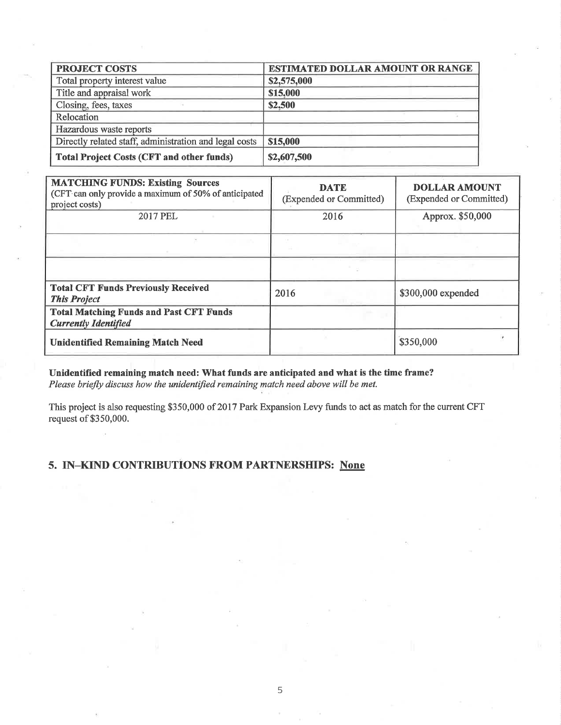| <b>PROJECT COSTS</b>                                   | ESTIMATED DOLLAR AMOUNT OR RANGE |  |  |
|--------------------------------------------------------|----------------------------------|--|--|
| Total property interest value                          | \$2,575,000                      |  |  |
| Title and appraisal work                               | \$15,000                         |  |  |
| Closing, fees, taxes                                   | \$2,500                          |  |  |
| Relocation                                             |                                  |  |  |
| Hazardous waste reports                                |                                  |  |  |
| Directly related staff, administration and legal costs | \$15,000                         |  |  |
| <b>Total Project Costs (CFT and other funds)</b>       | \$2,607,500                      |  |  |

| <b>MATCHING FUNDS: Existing Sources</b><br>(CFT can only provide a maximum of 50% of anticipated<br>project costs) | <b>DATE</b><br>(Expended or Committed) | <b>DOLLAR AMOUNT</b><br>(Expended or Committed) |
|--------------------------------------------------------------------------------------------------------------------|----------------------------------------|-------------------------------------------------|
| 2017 PEL                                                                                                           | 2016                                   | Approx. \$50,000                                |
|                                                                                                                    |                                        |                                                 |
|                                                                                                                    |                                        |                                                 |
| <b>Total CFT Funds Previously Received</b><br><b>This Project</b>                                                  | 2016                                   | \$300,000 expended                              |
| <b>Total Matching Funds and Past CFT Funds</b><br><b>Currently Identified</b>                                      |                                        |                                                 |
| <b>Unidentified Remaining Match Need</b>                                                                           |                                        | \$350,000                                       |

Unidentified remaining match need: What funds are anticipated and what is the time frame? Please briefly discuss how the unidentified remaining match need above will be met.

This project is also requesting \$350,000 of 2017 Park Expansion Levy funds to act as match for the current CFT request of \$350,000.

## 5. IN-KIND CONTRIBUTIONS FROM PARTNERSHIPS: None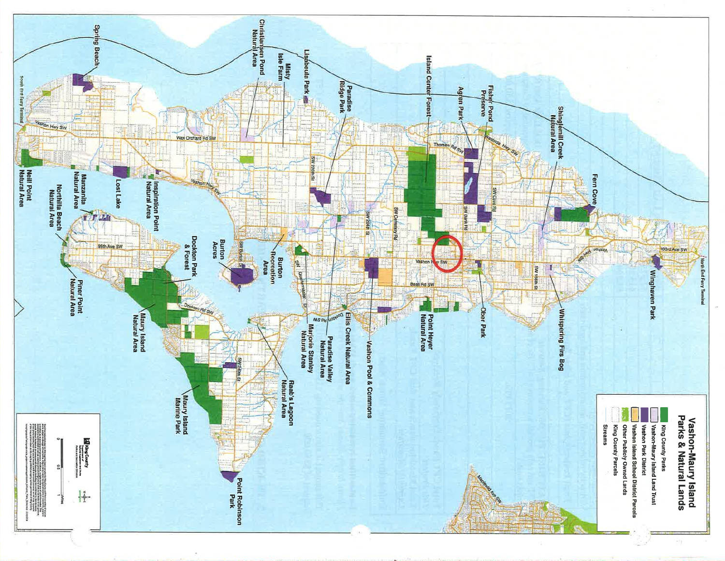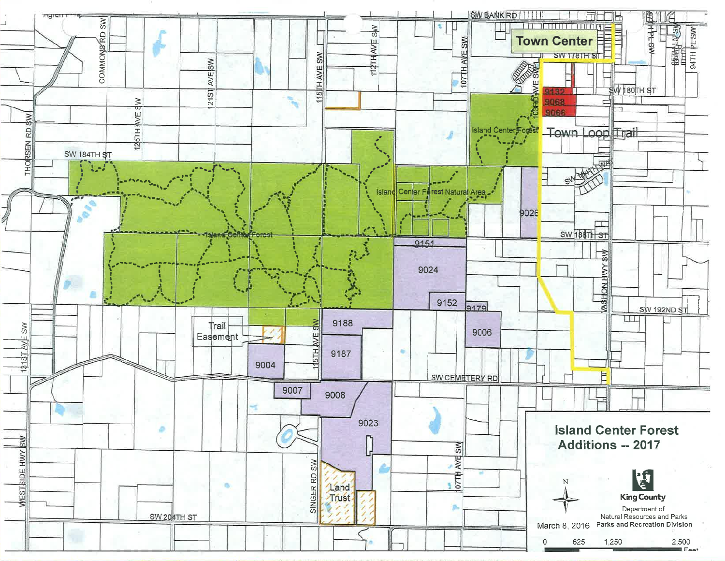